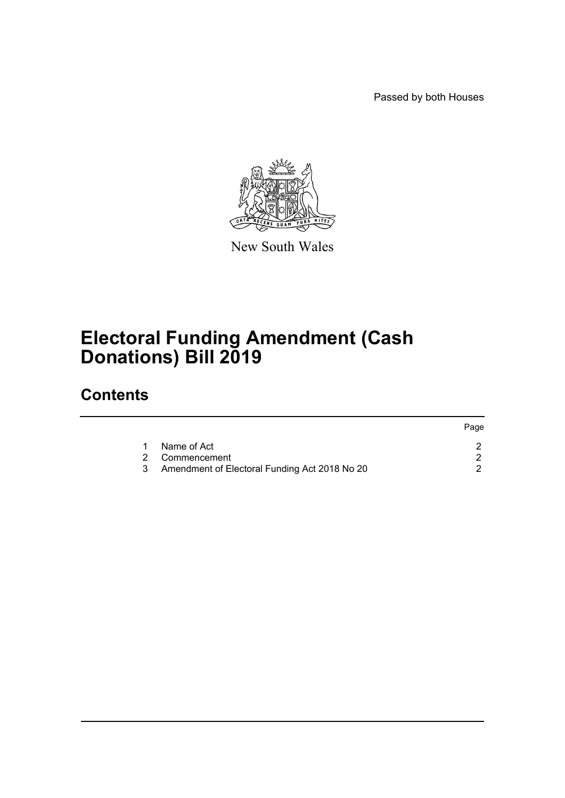Passed by both Houses



New South Wales

## **Electoral Funding Amendment (Cash Donations) Bill 2019**

### **Contents**

|   |                                                 | Page |
|---|-------------------------------------------------|------|
| 1 | Name of Act                                     |      |
|   | 2 Commencement                                  |      |
|   | 3 Amendment of Electoral Funding Act 2018 No 20 |      |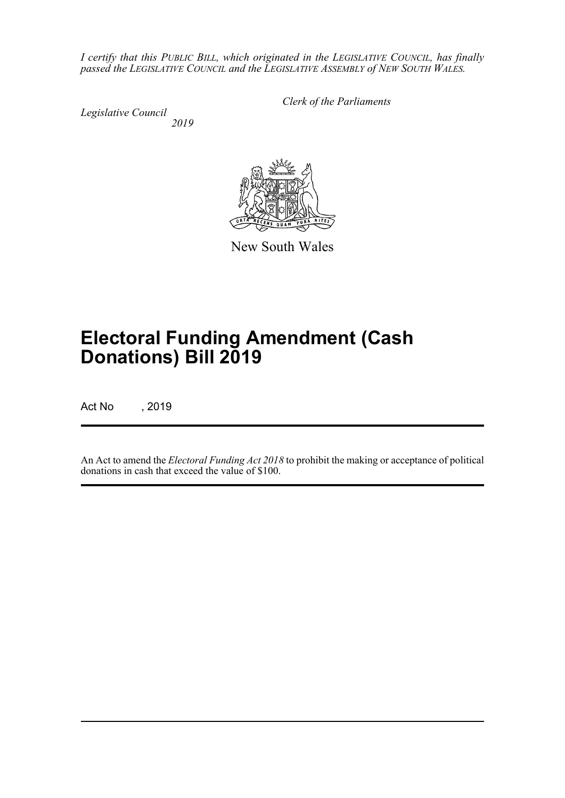*I certify that this PUBLIC BILL, which originated in the LEGISLATIVE COUNCIL, has finally passed the LEGISLATIVE COUNCIL and the LEGISLATIVE ASSEMBLY of NEW SOUTH WALES.*

*Legislative Council 2019* *Clerk of the Parliaments*



New South Wales

# **Electoral Funding Amendment (Cash Donations) Bill 2019**

Act No , 2019

An Act to amend the *Electoral Funding Act 2018* to prohibit the making or acceptance of political donations in cash that exceed the value of \$100.